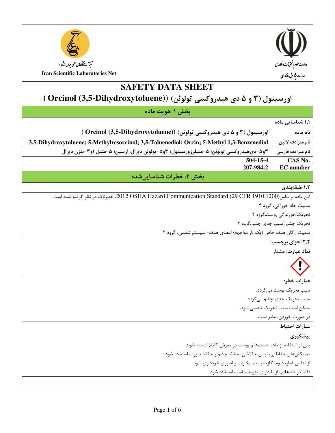



**SAFETY DATA SHEET** 

# اورسینول (۳ و ۵ دی هیدروکسی تولوئن) (Orcinol (3,5-Dihydroxytoluene))

|  |  | بخش ۱: هويت ماده |
|--|--|------------------|
|  |  |                  |

| بحس ۱: هويت ماده                                                                                        |                               |  |
|---------------------------------------------------------------------------------------------------------|-------------------------------|--|
|                                                                                                         | ۱٫۱ شناسایی ماده              |  |
| اورسینول (۳ و ۵ دی هیدروکسی تولوئن) (Orcinol (3,5-Dihydroxytoluene))                                    | نام ماده                      |  |
| 3,5-Dihydroxytoluene; 5-Methylresorcinol; 3,5-Toluenediol; Orcin; 5-Methyl 1,3-Benzenediol              | نام مترادف لاتين              |  |
| ٣و۵-ديﻫيدروكسي تولوئن؛ ۵-متيلرزورسينول؛ ٣و۵-تولوئن ديال: ارسين؛ ۵-متيل ١و٣-بنزن ديال                    | نام مترادف فارسى              |  |
| 504-15-4                                                                                                | CAS No.                       |  |
| 207-984-2                                                                                               | <b>EC</b> number              |  |
| بخش ۲: خطرات شناساییشده                                                                                 |                               |  |
|                                                                                                         | ١,٢ طبقهبندي                  |  |
| این ماده براساس(29 CFR 1910.1200) 2012 OSHA Hazard Communication Standard? خطرناک در نظر گرفته شده است. |                               |  |
|                                                                                                         | سمیت حاد خوراکی، گروه ۴       |  |
|                                                                                                         | تحریک/خورندگی پوست،گروه ۲     |  |
|                                                                                                         | تحریک چشم/آسیب جدی چشم،گروه ۲ |  |
| سمیت ارگان هدف خاص (یک بار مواجهه) اعضای هدف- سیستم تنفسی، گروه ۳                                       |                               |  |
| ۲٫۲ اجزای برچسب:                                                                                        |                               |  |
| نماد عبارت: هشدار                                                                                       |                               |  |
|                                                                                                         | $\Omega$                      |  |
|                                                                                                         | عبارات خطر:                   |  |
|                                                                                                         | سبب تحریک پوست میگردد.        |  |
|                                                                                                         | سبب تحریک جدی چشم می گردد.    |  |
|                                                                                                         | ممکن است سبب تحریک تنفسی شود. |  |
|                                                                                                         | در صورت خوردن، مضر است.       |  |
|                                                                                                         | عبارات احتياط                 |  |
|                                                                                                         | پیشگیری                       |  |
| پس از استفاده از ماده، دستها و پوست در معرض کاملا شسته شوند.                                            |                               |  |
| دستكشهاى حفاظتى، لباس حفاظتى، حفاظ چشم و حفاظ صورت استفاده شود.                                         |                               |  |
| از تنفس غبار، فیوم، گاز، میست، بخارات و اسپری خودداری شود.                                              |                               |  |
| فقط در فضاهای باز یا دارای تهویه مناسب استفاده شود.                                                     |                               |  |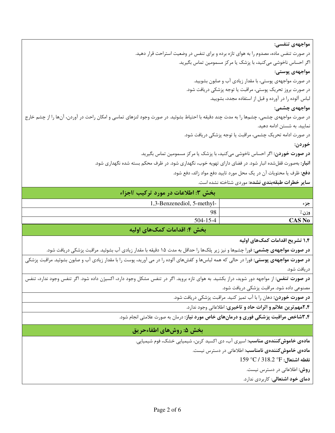مواجهەي تنفسى: در صورت تنفس ماده، مصدوم را به هوای تازه برده و برای تنفس در وضعیت استراحت قرار دهید. اگر احساس ناخوشی میکنید، با پزشک یا مرکز مسمومین تماس بگیرید. مواجهەي پوستى: در صورت مواجههی پوستی، با مقدار زیادی آب و صابون بشویید. در صورت بروز تحریک پوستی، مراقبت یا توجه پزشکی دریافت شود. لباس آلوده را در آورده و قبل از استفاده مجدد، بشوييد. مواجههی چشمی: در صورت مواجههی چشمی، چشمها را به مدت چند دقیقه با احتیاط بشوئید. در صورت وجود لنزهای تماسی و امکان راحت در آوردن، آنها را از چشم خارج نمایید. به شستن ادامه دهید. در صورت ادامه تحریک چشمی، مراقبت یا توجه پزشکی دریافت شود. خوردن: **در صورت خوردن**: اگر احساس ناخوشی میکنید، با پزشک یا مرکز مسمومین تماس بگیرید. **انبار**: بهصورت قفلشده انبار شود. در فضای دارای تهویه خوب، نگهداری شود. در ظرف محکم بسته شده نگهداری شود. **دفع:** ظرف یا محتویات آن در یک محل مورد تایید دفع مواد زائد، دفع شود.

**سایر خطرات طبقهبندی نشده:** موردی شتاخته نشده است.

|               | ِ بخش ٣: اطلاعات در مورد تركيب /اجزاء |
|---------------|---------------------------------------|
| جزء           | 1,3-Benzenediol, 5-methyl-            |
| وزن٪          | 98                                    |
| <b>CAS No</b> | $504 - 15 - 4$                        |
|               |                                       |

بخش ۴: اقدامات کمکهای اولیه

۱٫۴ تشریح اقدامات کمکهای اولیه

**در صورت مواجههی چشمی:** فورا چشمها و نیز زیر پلکها را حداقل به مدت ۱۵ دقیقه با مقدار زیادی آب بشوئید. مراقبت پزشکی دریافت شود.

**در صورت مواجههی پوستی:** فورا در حالی که همه لباسها و کفشهای آلوده را در می آورید، پوست را با مقدار زیادی آب و صابون بشوئید. مراقبت پزشکی دريافت شود.

**در صورت تنفس:** از مواجهه دور شوید، دراز بکشید. به هوای تازه بروید. اگر در تنفس مشکل وجود دارد، اکسیژن داده شود. اگر تنفس وجود ندارد، تنفس مصنوعی داده شود. مراقبت پزشکی دریافت شود.

**در صورت خوردن**: دهان را با آب تمیز کنید. مراقبت پزشکی دریافت شود.

٢٫۴مهم ترين علائم و اثرات حاد و تاخيري: اطلاعاتي وجود ندارد.

**۳٫۴شاخص مراقبت پزشکی فوری و درمانهای خاص مورد نیاز:** درمان به صورت علامتی انجام شود.

#### بخش ۵: روشهای اطفاءحریق

**مادهی خاموش کنندهی مناسب**: اسپری آب، دی اکسید کربن، شیمیایی خشک، فوم شیمیایی.

**مادەي خاموش كنندەي نامناسب:** اطلاعاتى در دسترس نيست.

 $159 °C/318.2 °F$ : نقطه اشتعال

**روش:** اطلاعاتی در دسترس نیست.

**دمای خود اشتعالی**: کا<sub>ر</sub>بردی ندارد.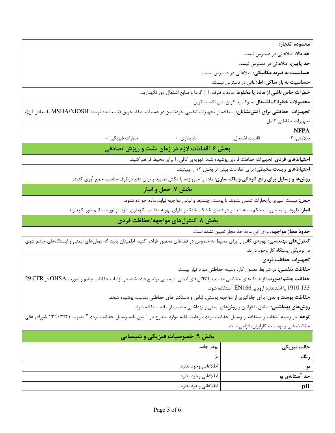| محدوده انفجار:                                                                                                                               |                      |                                                                                                                                              |
|----------------------------------------------------------------------------------------------------------------------------------------------|----------------------|----------------------------------------------------------------------------------------------------------------------------------------------|
| حد بالا: اطلاعاتی در دسترس نیست.                                                                                                             |                      |                                                                                                                                              |
| <b>حد پایین</b> : اطلاعاتی در دسترس نیست.                                                                                                    |                      |                                                                                                                                              |
| <b>حساسیت به ضربه مکانیکی:</b> اطلاعاتی در دسترس نیست.                                                                                       |                      |                                                                                                                                              |
| <b>حساسیت به بار ساکن</b> : اطلاعاتی در دسترس نیست.                                                                                          |                      |                                                                                                                                              |
| <b>خطرات خاص ناشی از ماده یا مخلوط</b> : ماده و ظرف را از گرما و منابع اشتعال دور نگهدارید.                                                  |                      |                                                                                                                                              |
| <b>محصولات خطرناک اشتعال:</b> منوکسید کربن، دی اکسید کربن.                                                                                   |                      |                                                                                                                                              |
|                                                                                                                                              |                      | تجهیزات حفاظتی برای آتشنشانان: استفاده از تجهیزات تنفسی خودتامین در عملیات اطفاء حریق (تاییدشده توسط MSHA/NIOSH یا معادل آن)،                |
| تجهيزات حفاظتي كامل.                                                                                                                         |                      |                                                                                                                                              |
| <b>NFPA</b>                                                                                                                                  |                      |                                                                                                                                              |
| قابليت اشتعال: •<br>سلامتى: ٢                                                                                                                | ناپايدارى: •         | خطرات فيزيكي: -                                                                                                                              |
|                                                                                                                                              |                      | بخش ۶: اقدامات لازم در زمان نشت و ریزش تصادفی                                                                                                |
| <b>احتیاطهای فردی</b> : تجهیزات حفاظت فردی پوشیده شود. تهویهی کافی را برای محیط فراهم کنید.                                                  |                      |                                                                                                                                              |
| <b>احتیاطهای زیست محیطی</b> : برای اطلاعات بیش تر بخش ۱۲ را ببینید                                                                           |                      |                                                                                                                                              |
|                                                                                                                                              |                      | <b>روشها و وسایل برای رفع آلودگی و پاک سازی</b> : ماده را جارو زده یا مکش نمایید و برای دفع درظرف مناسب جمع آوری کنید.                       |
|                                                                                                                                              |                      | بخش ۷: حمل و انبار                                                                                                                           |
| حمل: میست اسپری یا بخارات تنفس نشوند. با پوست، چشمها و لباس مواجهه نیابد. ماده خورده نشود.                                                   |                      |                                                                                                                                              |
|                                                                                                                                              |                      | <b>انبار</b> : ظروف را به صورت محکم بسته شده و در فضای خشک، خنک و دارای تهویه مناسب نگهداری شود. از نور مستقیم دور نگهدارید.                 |
|                                                                                                                                              |                      | بخش ۸: کنترلهای مواجهه /حفاظت فردی                                                                                                           |
| <b>حدود مجاز مواجهه:</b> برای این ماده حد مجاز تعیین نشده است.                                                                               |                      |                                                                                                                                              |
|                                                                                                                                              |                      | <b>کنترلهای مهندسی</b> : تهویهی کافی را برای محیط به خصوص در فضاهای محصور فراهم کنید. اطمینان یابید که دوشهای ایمنی و ایستگاههای چشم شوی     |
| در نزدیکی ایستگاه کار وجود دارند.                                                                                                            |                      |                                                                                                                                              |
| تجهيزات حفاظت فردى                                                                                                                           |                      |                                                                                                                                              |
| <b>حفاظت تنفسی:</b> در شرایط معمول کار، وسیله حفاظتی مورد نیاز نیست.                                                                         |                      |                                                                                                                                              |
| <b>حفاظت چشم <i>اص</i>ورت</b> : از عینکـهای حفاظتی مناسب یا گاگلـهای ایمنی شیمیایی توضیح داده شده در الزامات حفاظت چشم و صورت OHSA در OFR در |                      |                                                                                                                                              |
| 1910.133 یا استاندارد اروپایی EN166 استفاده شود.                                                                                             |                      |                                                                                                                                              |
| <b>حفاظت پوست و بدن</b> : برای جلوگیری از مواجهه پوستی، لباس و دستکشهای حفاظتی مناسب پوشیده شوند.                                            |                      |                                                                                                                                              |
| <b>روشهای بهداشتی:</b> مطابق با قوانین و روشهای ایمنی و بهداشتی مناسب از ماده استفاده شود.                                                   |                      |                                                                                                                                              |
|                                                                                                                                              |                      | <b>توجه:</b> در زمینه انتخاب و استفاده از وسایل حفاظت فردی، رعایت کلیه موارد مندرج در "آیین نامه وسایل حفاظت فردی" مصوب ۱۳۹۰/۳/۲۱ شورای عالی |
| حفاظت فنی و بهداشت کارایران، الزامی است.                                                                                                     |                      |                                                                                                                                              |
|                                                                                                                                              |                      | بخش ۹: خصوصیات فیزیکی و شیمیایی                                                                                                              |
| حالت فيزيكي                                                                                                                                  | پودر جامد            |                                                                                                                                              |
| رنگ                                                                                                                                          | بژ                   |                                                                                                                                              |
| بو                                                                                                                                           | اطلاعاتي وجود ندارد. |                                                                                                                                              |
| حد آستانهی بو                                                                                                                                | اطلاعاتي وجود ندارد. |                                                                                                                                              |
| pH                                                                                                                                           | اطلاعاتي وجود ندارد. |                                                                                                                                              |
|                                                                                                                                              |                      |                                                                                                                                              |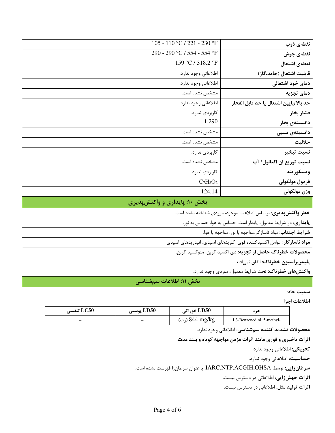| نقطهى ذوب                              | 105 - 110 °C / 221 - 230 °F |
|----------------------------------------|-----------------------------|
| نقطهى جوش                              | 290 - 290 °C / 554 - 554 °F |
| نقطهى اشتعال                           | 159 °C / 318.2 °F           |
| قابلیت اشتعال (جامد،گاز)               | اطلاعاتي وجود ندارد.        |
| دمای خود اشتعالی                       | اطلاعاتي وجود ندارد.        |
| دمای تجزیه                             | مشخص نشده است.              |
| حد بالا/پایین اشتعال یا حد قابل انفجار | اطلاعاتي وجود ندارد.        |
| فشار بخار                              | كاربردى ندارد.              |
| دانسیتهی بخار                          | 1.290                       |
| دانسیتەی نسبی                          | مشخص نشده است.              |
| حلاليت                                 | مشخص نشده است.              |
| نسبت تبخير                             | كاربردى ندارد.              |
| نسبت توزيع ان اكتانول/ آب              | مشخص نشده است.              |
| ويسكوزيته                              | كاربردى ندارد.              |
| فرمول مولكولى                          | $C_7H_8O_2$                 |
| وزن مولكولي                            | 124.14                      |
|                                        |                             |

## بخش ۱۰: پایداری و واکنشپذیری

**خطر واکنش پذیری**: براساس اطلاعات موجود، موردی شناخته نشده است.

**پایداری:** در شرایط معمول، پایدار است. حساس به هوا. حساس به نور.

**شرایط اجتناب:** مواد ناسازگار.مواجهه با نور. مواجهه با هوا.

**مواد ناساز گار:** عوامل اکسیدکننده قوی. کلریدهای اسیدی. انیدریدهای اسیدی.

محصولات خطرناک حاصل از تجزیه: دی اکسید کربن، منوکسید کربن.

پلیمریزاسیون خطرناک: اتفاق نمیافتد.

**واکنشهای خطرناک**: تحت شرایط معمول، موردی وجود ندارد.

بخش ۱۱: اطلاعات سم شناسی

سمىت حاد:

اطلاعات اجزا:

| LC50 تنفسي | LD50 پوستى               | ، LD50 خوراکی  |                            |
|------------|--------------------------|----------------|----------------------------|
| -          | $\overline{\phantom{0}}$ | (رت) 844 mg/kg | 1,3-Benzenediol, 5-methyl- |

محصولات تشديد كننده سمشناسي: اطلاعاتي وجود ندارد.

اثرات تاخیری و فوری مانند اثرات مزمن مواجهه کوتاه و بلند مدت:

**تحريكي:** اطلاعاتي وجود ندارد.

حساسيت: اطلاعاتي وجود ندارد.

سرطانزايي: توسط IARC,NTP,ACGIH,OHSA، بهعنوان سرطانزا فهرست نشده است.

اثرات جهشزایی: اطلاعاتی در دسترس نیست.

**اثرات تولید مثل**: اطلاعاتی در دسترس نیست.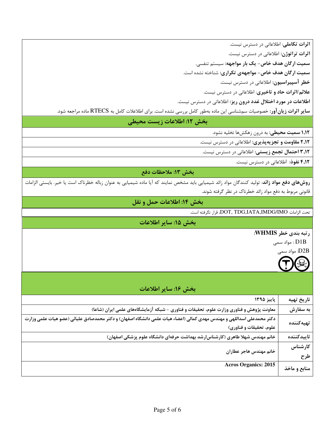**اثرات تکاملی**: اطلاعاتی در دسترس نیست.

**اثرات تراتوژن**: اطلاعاتی در دسترس نیست.

سمیت ارگان هدف خاص- یک بار مواجهه: سیستم تنفسی.

سمیت ارگان هدف خاص- مواجههی تکراری: شناخته نشده است.

خطر آسپیراسیون: اطلاعاتی در دسترس نیست.

علائم/اثرات حاد و تاخیری: اطلاعاتی در دسترس نیست.

اطلاعات در مورد اختلال غدد درون ریز: اطلاعاتی در دسترس نیست.

**سایر اثرات زیانآور**: خصوصیات سم شناسی این ماده بهطور کامل بررسی نشده است. برای اطلاعلات کامل به RTECS ماده مراجعه شود.

#### بخش ١٢: اطلاعات زيست محيطي

**۱٬۱۲ سمیت محیطی:** به درون زهکشها تخلیه نشود.

۲٫۱۲ مقاومت و تجزیهپذیری: اطلاعاتی در دسترس نیست.

**۳٫۱۲ احتمال تجمع زیستی:** اطلاعاتی در دسترس نیست.

۴٬۱۲ نفوذ: اطلاعاتی در دسترس نیست.

#### بخش ١٣: ملاحظات دفع

**روشهای دفع مواد زائد**: تولید کنندگان مواد زائد شیمیایی باید مشخص نمایند که آیا ماده شیمیایی به عنوان زباله خظرناک است یا خیر. بایستی الزامات قانونی مربوط به دفع مواد زائد خطرناک در نظر گرفته شوند.

### بخش ١٤: اطلاعات حمل و نقل

تحت الزامات DOT, TDG,IATA,IMDG/IMO، قرار نگرفته است.

بخش ١۵: ساير اطلاعات

رتبه بندی خطر WHMIS:

عواد سمى :  $\rm{D1B}$ 



|              | بخش ۱۶: سایر اطلاعات                                                                                                                             |  |
|--------------|--------------------------------------------------------------------------------------------------------------------------------------------------|--|
| تاريخ تهيه   | پاییز ۱۳۹۵                                                                                                                                       |  |
| به سفارش     | معاونت پژوهش و فناوری وزارت علوم، تحقیقات و فناوری – شبکه آزمایشگاههای علمی ایران (شاعا)                                                         |  |
| تهيەكنندە    | دکتر محمدعلی اسداللهی و مهندس مهدی کمالی (اعضاء هیات علمی دانشگاه اصفهان) و دکتر محمدصادق علیائی (عضو هیات علمی وزارت<br>علوم، تحقیقات و فناوری) |  |
|              |                                                                                                                                                  |  |
| تاييدكننده   | خانم مهندس شهلا طاهری (کارشناس رشد بهداشت حرفهای دانشگاه علوم پزشکی اصفهان)                                                                      |  |
| كارشناس      |                                                                                                                                                  |  |
| طرح          | خانم مهندس هاجر عطاران                                                                                                                           |  |
| منابع و ماخذ | <b>Acros Organics: 2015</b>                                                                                                                      |  |
|              |                                                                                                                                                  |  |